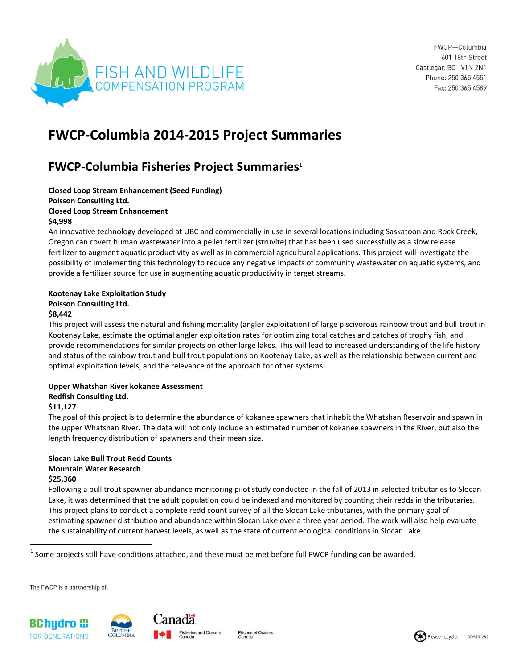

FWCP-Columbia 601 18th Street Castlegar, BC V1N 2N1 Phone: 250 365 4551 Fax: 250 365 4589

# **FWCP-Columbia 2014-2015 Project Summaries**

# **FWCP-Columbia Fisheries Project Summaries<sup>1</sup>**

**Closed Loop Stream Enhancement (Seed Funding) Poisson Consulting Ltd.**

## **Closed Loop Stream Enhancement**

### **\$4,998**

An innovative technology developed at UBC and commercially in use in several locations including Saskatoon and Rock Creek, Oregon can covert human wastewater into a pellet fertilizer (struvite) that has been used successfully as a slow release fertilizer to augment aquatic productivity as well as in commercial agricultural applications. This project will investigate the possibility of implementing this technology to reduce any negative impacts of community wastewater on aquatic systems, and provide a fertilizer source for use in augmenting aquatic productivity in target streams.

#### **Kootenay Lake Exploitation Study Poisson Consulting Ltd. \$8,442**

This project will assess the natural and fishing mortality (angler exploitation) of large piscivorous rainbow trout and bull trout in Kootenay Lake, estimate the optimal angler exploitation rates for optimizing total catches and catches of trophy fish, and provide recommendations for similar projects on other large lakes. This will lead to increased understanding of the life history and status of the rainbow trout and bull trout populations on Kootenay Lake, as well as the relationship between current and optimal exploitation levels, and the relevance of the approach for other systems.

## **Upper Whatshan River kokanee Assessment**

## **Redfish Consulting Ltd.**

## **\$11,127**

The goal of this project is to determine the abundance of kokanee spawners that inhabit the Whatshan Reservoir and spawn in the upper Whatshan River. The data will not only include an estimated number of kokanee spawners in the River, but also the length frequency distribution of spawners and their mean size.

#### **Slocan Lake Bull Trout Redd Counts Mountain Water Research \$25,360**

Following a bull trout spawner abundance monitoring pilot study conducted in the fall of 2013 in selected tributaries to Slocan Lake, it was determined that the adult population could be indexed and monitored by counting their redds in the tributaries. This project plans to conduct a complete redd count survey of all the Slocan Lake tributaries, with the primary goal of estimating spawner distribution and abundance within Slocan Lake over a three year period. The work will also help evaluate the sustainability of current harvest levels, as well as the state of current ecological conditions in Slocan Lake.

 $^1$  Some projects still have conditions attached, and these must be met before full FWCP funding can be awarded.

The FWCP is a partnership of:

 $\overline{a}$ 



Pêches et Océans

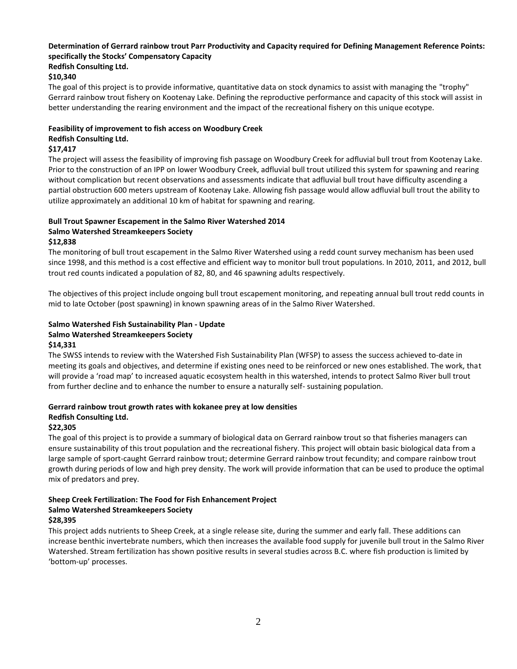# **Determination of Gerrard rainbow trout Parr Productivity and Capacity required for Defining Management Reference Points: specifically the Stocks' Compensatory Capacity**

#### **Redfish Consulting Ltd.**

#### **\$10,340**

The goal of this project is to provide informative, quantitative data on stock dynamics to assist with managing the "trophy" Gerrard rainbow trout fishery on Kootenay Lake. Defining the reproductive performance and capacity of this stock will assist in better understanding the rearing environment and the impact of the recreational fishery on this unique ecotype.

### **Feasibility of improvement to fish access on Woodbury Creek**

#### **Redfish Consulting Ltd.**

#### **\$17,417**

The project will assess the feasibility of improving fish passage on Woodbury Creek for adfluvial bull trout from Kootenay Lake. Prior to the construction of an IPP on lower Woodbury Creek, adfluvial bull trout utilized this system for spawning and rearing without complication but recent observations and assessments indicate that adfluvial bull trout have difficulty ascending a partial obstruction 600 meters upstream of Kootenay Lake. Allowing fish passage would allow adfluvial bull trout the ability to utilize approximately an additional 10 km of habitat for spawning and rearing.

# **Bull Trout Spawner Escapement in the Salmo River Watershed 2014**

# **Salmo Watershed Streamkeepers Society**

#### **\$12,838**

The monitoring of bull trout escapement in the Salmo River Watershed using a redd count survey mechanism has been used since 1998, and this method is a cost effective and efficient way to monitor bull trout populations. In 2010, 2011, and 2012, bull trout red counts indicated a population of 82, 80, and 46 spawning adults respectively.

The objectives of this project include ongoing bull trout escapement monitoring, and repeating annual bull trout redd counts in mid to late October (post spawning) in known spawning areas of in the Salmo River Watershed.

### **Salmo Watershed Fish Sustainability Plan - Update Salmo Watershed Streamkeepers Society \$14,331**

The SWSS intends to review with the Watershed Fish Sustainability Plan (WFSP) to assess the success achieved to-date in meeting its goals and objectives, and determine if existing ones need to be reinforced or new ones established. The work, that will provide a 'road map' to increased aquatic ecosystem health in this watershed, intends to protect Salmo River bull trout from further decline and to enhance the number to ensure a naturally self- sustaining population.

# **Gerrard rainbow trout growth rates with kokanee prey at low densities Redfish Consulting Ltd.**

#### **\$22,305**

The goal of this project is to provide a summary of biological data on Gerrard rainbow trout so that fisheries managers can ensure sustainability of this trout population and the recreational fishery. This project will obtain basic biological data from a large sample of sport-caught Gerrard rainbow trout; determine Gerrard rainbow trout fecundity; and compare rainbow trout growth during periods of low and high prey density. The work will provide information that can be used to produce the optimal mix of predators and prey.

# **Sheep Creek Fertilization: The Food for Fish Enhancement Project Salmo Watershed Streamkeepers Society**

# **\$28,395**

This project adds nutrients to Sheep Creek, at a single release site, during the summer and early fall. These additions can increase benthic invertebrate numbers, which then increases the available food supply for juvenile bull trout in the Salmo River Watershed. Stream fertilization has shown positive results in several studies across B.C. where fish production is limited by 'bottom-up' processes.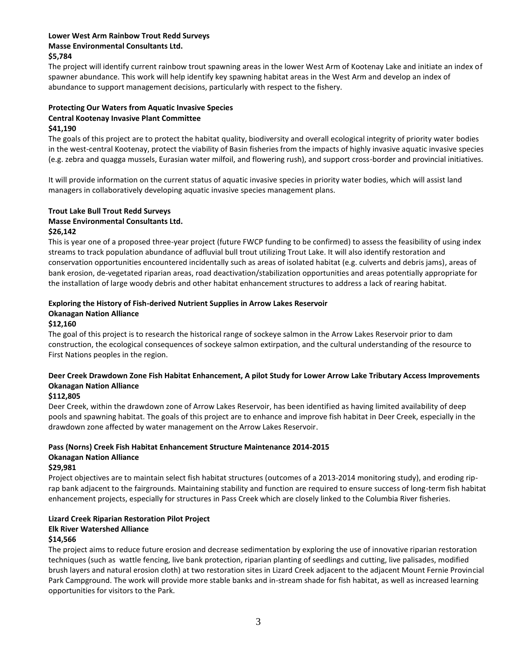#### **Lower West Arm Rainbow Trout Redd Surveys Masse Environmental Consultants Ltd. \$5,784**

The project will identify current rainbow trout spawning areas in the lower West Arm of Kootenay Lake and initiate an index of spawner abundance. This work will help identify key spawning habitat areas in the West Arm and develop an index of abundance to support management decisions, particularly with respect to the fishery.

# **Protecting Our Waters from Aquatic Invasive Species Central Kootenay Invasive Plant Committee**

#### **\$41,190**

The goals of this project are to protect the habitat quality, biodiversity and overall ecological integrity of priority water bodies in the west-central Kootenay, protect the viability of Basin fisheries from the impacts of highly invasive aquatic invasive species (e.g. zebra and quagga mussels, Eurasian water milfoil, and flowering rush), and support cross-border and provincial initiatives.

It will provide information on the current status of aquatic invasive species in priority water bodies, which will assist land managers in collaboratively developing aquatic invasive species management plans.

### **Trout Lake Bull Trout Redd Surveys Masse Environmental Consultants Ltd. \$26,142**

This is year one of a proposed three-year project (future FWCP funding to be confirmed) to assess the feasibility of using index streams to track population abundance of adfluvial bull trout utilizing Trout Lake. It will also identify restoration and conservation opportunities encountered incidentally such as areas of isolated habitat (e.g. culverts and debris jams), areas of bank erosion, de-vegetated riparian areas, road deactivation/stabilization opportunities and areas potentially appropriate for the installation of large woody debris and other habitat enhancement structures to address a lack of rearing habitat.

## **Exploring the History of Fish-derived Nutrient Supplies in Arrow Lakes Reservoir**

### **Okanagan Nation Alliance**

### **\$12,160**

The goal of this project is to research the historical range of sockeye salmon in the Arrow Lakes Reservoir prior to dam construction, the ecological consequences of sockeye salmon extirpation, and the cultural understanding of the resource to First Nations peoples in the region.

## **Deer Creek Drawdown Zone Fish Habitat Enhancement, A pilot Study for Lower Arrow Lake Tributary Access Improvements Okanagan Nation Alliance**

## **\$112,805**

Deer Creek, within the drawdown zone of Arrow Lakes Reservoir, has been identified as having limited availability of deep pools and spawning habitat. The goals of this project are to enhance and improve fish habitat in Deer Creek, especially in the drawdown zone affected by water management on the Arrow Lakes Reservoir.

#### **Pass (Norns) Creek Fish Habitat Enhancement Structure Maintenance 2014-2015 Okanagan Nation Alliance \$29,981**

Project objectives are to maintain select fish habitat structures (outcomes of a 2013-2014 monitoring study), and eroding riprap bank adjacent to the fairgrounds. Maintaining stability and function are required to ensure success of long-term fish habitat enhancement projects, especially for structures in Pass Creek which are closely linked to the Columbia River fisheries.

#### **Lizard Creek Riparian Restoration Pilot Project Elk River Watershed Alliance \$14,566**

The project aims to reduce future erosion and decrease sedimentation by exploring the use of innovative riparian restoration techniques (such as wattle fencing, live bank protection, riparian planting of seedlings and cutting, live palisades, modified brush layers and natural erosion cloth) at two restoration sites in Lizard Creek adjacent to the adjacent Mount Fernie Provincial Park Campground. The work will provide more stable banks and in-stream shade for fish habitat, as well as increased learning opportunities for visitors to the Park.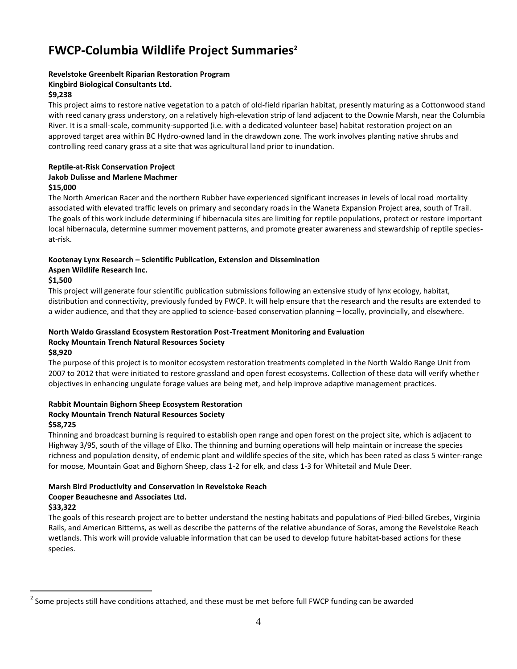# **FWCP-Columbia Wildlife Project Summaries<sup>2</sup>**

### **Revelstoke Greenbelt Riparian Restoration Program**

#### **Kingbird Biological Consultants Ltd.**

#### **\$9,238**

This project aims to restore native vegetation to a patch of old-field riparian habitat, presently maturing as a Cottonwood stand with reed canary grass understory, on a relatively high-elevation strip of land adjacent to the Downie Marsh, near the Columbia River. It is a small-scale, community-supported (i.e. with a dedicated volunteer base) habitat restoration project on an approved target area within BC Hydro-owned land in the drawdown zone. The work involves planting native shrubs and controlling reed canary grass at a site that was agricultural land prior to inundation.

#### **Reptile-at-Risk Conservation Project Jakob Dulisse and Marlene Machmer \$15,000**

The North American Racer and the northern Rubber have experienced significant increases in levels of local road mortality associated with elevated traffic levels on primary and secondary roads in the Waneta Expansion Project area, south of Trail. The goals of this work include determining if hibernacula sites are limiting for reptile populations, protect or restore important local hibernacula, determine summer movement patterns, and promote greater awareness and stewardship of reptile speciesat-risk.

# **Kootenay Lynx Research – Scientific Publication, Extension and Dissemination**

### **Aspen Wildlife Research Inc.**

## **\$1,500**

This project will generate four scientific publication submissions following an extensive study of lynx ecology, habitat, distribution and connectivity, previously funded by FWCP. It will help ensure that the research and the results are extended to a wider audience, and that they are applied to science-based conservation planning – locally, provincially, and elsewhere.

#### **North Waldo Grassland Ecosystem Restoration Post-Treatment Monitoring and Evaluation Rocky Mountain Trench Natural Resources Society \$8,920**

The purpose of this project is to monitor ecosystem restoration treatments completed in the North Waldo Range Unit from 2007 to 2012 that were initiated to restore grassland and open forest ecosystems. Collection of these data will verify whether objectives in enhancing ungulate forage values are being met, and help improve adaptive management practices.

# **Rabbit Mountain Bighorn Sheep Ecosystem Restoration Rocky Mountain Trench Natural Resources Society**

## **\$58,725**

Thinning and broadcast burning is required to establish open range and open forest on the project site, which is adjacent to Highway 3/95, south of the village of Elko. The thinning and burning operations will help maintain or increase the species richness and population density, of endemic plant and wildlife species of the site, which has been rated as class 5 winter-range for moose, Mountain Goat and Bighorn Sheep, class 1-2 for elk, and class 1-3 for Whitetail and Mule Deer.

# **Marsh Bird Productivity and Conservation in Revelstoke Reach**

# **Cooper Beauchesne and Associates Ltd.**

## **\$33,322**

 $\overline{a}$ 

The goals of this research project are to better understand the nesting habitats and populations of Pied‐billed Grebes, Virginia Rails, and American Bitterns, as well as describe the patterns of the relative abundance of Soras, among the Revelstoke Reach wetlands. This work will provide valuable information that can be used to develop future habitat‐based actions for these species.

 $^{2}$  Some projects still have conditions attached, and these must be met before full FWCP funding can be awarded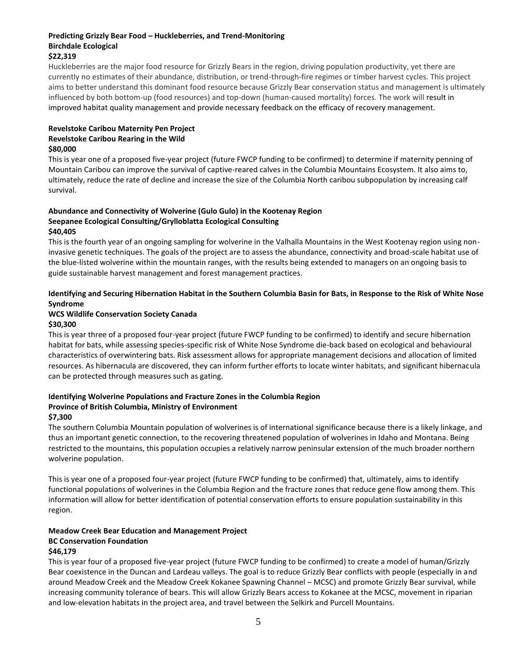#### **Predicting Grizzly Bear Food – Huckleberries, and Trend-Monitoring Birchdale Ecological \$22,319**

Huckleberries are the major food resource for Grizzly Bears in the region, driving population productivity, yet there are currently no estimates of their abundance, distribution, or trend-through-fire regimes or timber harvest cycles. This project aims to better understand this dominant food resource because Grizzly Bear conservation status and management is ultimately influenced by both bottom-up (food resources) and top-down (human-caused mortality) forces. The work will result in improved habitat quality management and provide necessary feedback on the efficacy of recovery management.

### **Revelstoke Caribou Maternity Pen Project Revelstoke Caribou Rearing in the Wild \$80,000**

This is year one of a proposed five-year project (future FWCP funding to be confirmed) to determine if maternity penning of Mountain Caribou can improve the survival of captive-reared calves in the Columbia Mountains Ecosystem. It also aims to, ultimately, reduce the rate of decline and increase the size of the Columbia North caribou subpopulation by increasing calf survival.

#### **Abundance and Connectivity of Wolverine (Gulo Gulo) in the Kootenay Region Seepanee Ecological Consulting/Grylloblatta Ecological Consulting \$40,405**

This is the fourth year of an ongoing sampling for wolverine in the Valhalla Mountains in the West Kootenay region using noninvasive genetic techniques. The goals of the project are to assess the abundance, connectivity and broad-scale habitat use of the blue-listed wolverine within the mountain ranges, with the results being extended to managers on an ongoing basis to guide sustainable harvest management and forest management practices.

## **Identifying and Securing Hibernation Habitat in the Southern Columbia Basin for Bats, in Response to the Risk of White Nose Syndrome**

#### **WCS Wildlife Conservation Society Canada \$30,300**

This is year three of a proposed four-year project (future FWCP funding to be confirmed) to identify and secure hibernation habitat for bats, while assessing species-specific risk of White Nose Syndrome die-back based on ecological and behavioural characteristics of overwintering bats. Risk assessment allows for appropriate management decisions and allocation of limited resources. As hibernacula are discovered, they can inform further efforts to locate winter habitats, and significant hibernacula can be protected through measures such as gating.

# **Identifying Wolverine Populations and Fracture Zones in the Columbia Region Province of British Columbia, Ministry of Environment**

#### **\$7,300**

The southern Columbia Mountain population of wolverines is of international significance because there is a likely linkage, and thus an important genetic connection, to the recovering threatened population of wolverines in Idaho and Montana. Being restricted to the mountains, this population occupies a relatively narrow peninsular extension of the much broader northern wolverine population.

This is year one of a proposed four-year project (future FWCP funding to be confirmed) that, ultimately, aims to identify functional populations of wolverines in the Columbia Region and the fracture zones that reduce gene flow among them. This information will allow for better identification of potential conservation efforts to ensure population sustainability in this region.

# **Meadow Creek Bear Education and Management Project BC Conservation Foundation**

#### **\$46,179**

This is year four of a proposed five-year project (future FWCP funding to be confirmed) to create a model of human/Grizzly Bear coexistence in the Duncan and Lardeau valleys. The goal is to reduce Grizzly Bear conflicts with people (especially in and around Meadow Creek and the Meadow Creek Kokanee Spawning Channel – MCSC) and promote Grizzly Bear survival, while increasing community tolerance of bears. This will allow Grizzly Bears access to Kokanee at the MCSC, movement in riparian and low-elevation habitats in the project area, and travel between the Selkirk and Purcell Mountains.